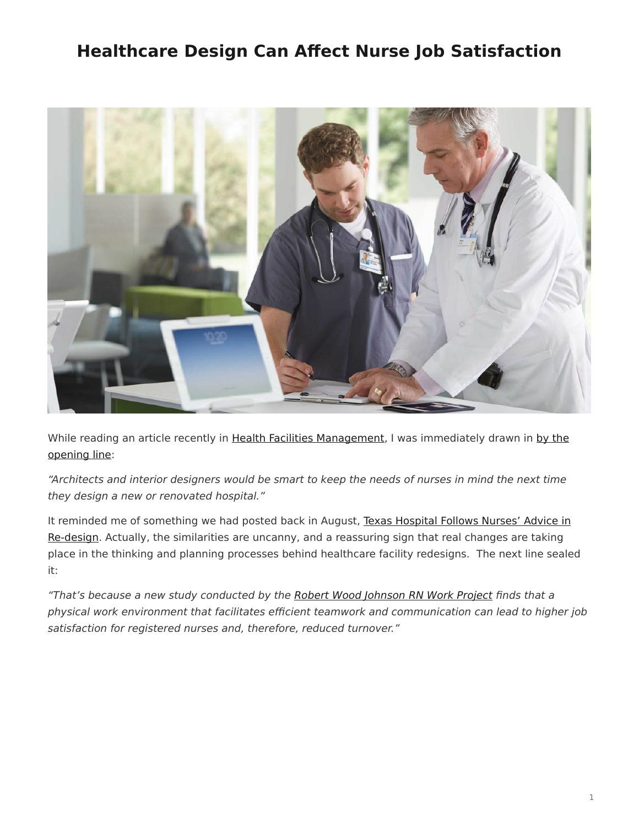## <span id="page-0-0"></span>**Healthcare Design Can Affect Nurse Job Satisfaction**



While reading an article recently in [Health Facilities Management](http://www.hfmmagazine.com/), I was immediately drawn in [by the](http://www.hfmmagazine.com/display/HFM-news-article.dhtml?dcrPath=/templatedata/HF_Common/NewsArticle/data/HFM/Magazine/2014/Sept/upfront-architecture-nurse-job-satisfaction) [opening line:](http://www.hfmmagazine.com/display/HFM-news-article.dhtml?dcrPath=/templatedata/HF_Common/NewsArticle/data/HFM/Magazine/2014/Sept/upfront-architecture-nurse-job-satisfaction)

"Architects and interior designers would be smart to keep the needs of nurses in mind the next time they design a new or renovated hospital."

It reminded me of something we had posted back in August, [Texas Hospital Follows Nurses' Advice in](https://www.steelcase.com/posts/texas-hospital-follows-nurses-advice-in-re-design/) [Re-design.](https://www.steelcase.com/posts/texas-hospital-follows-nurses-advice-in-re-design/) Actually, the similarities are uncanny, and a reassuring sign that real changes are taking place in the thinking and planning processes behind healthcare facility redesigns. The next line sealed it:

"That's because a new study conducted by the [Robert Wood Johnson RN Work Project](http://www.rnworkproject.org/) finds that a physical work environment that facilitates efficient teamwork and communication can lead to higher job satisfaction for registered nurses and, therefore, reduced turnover."